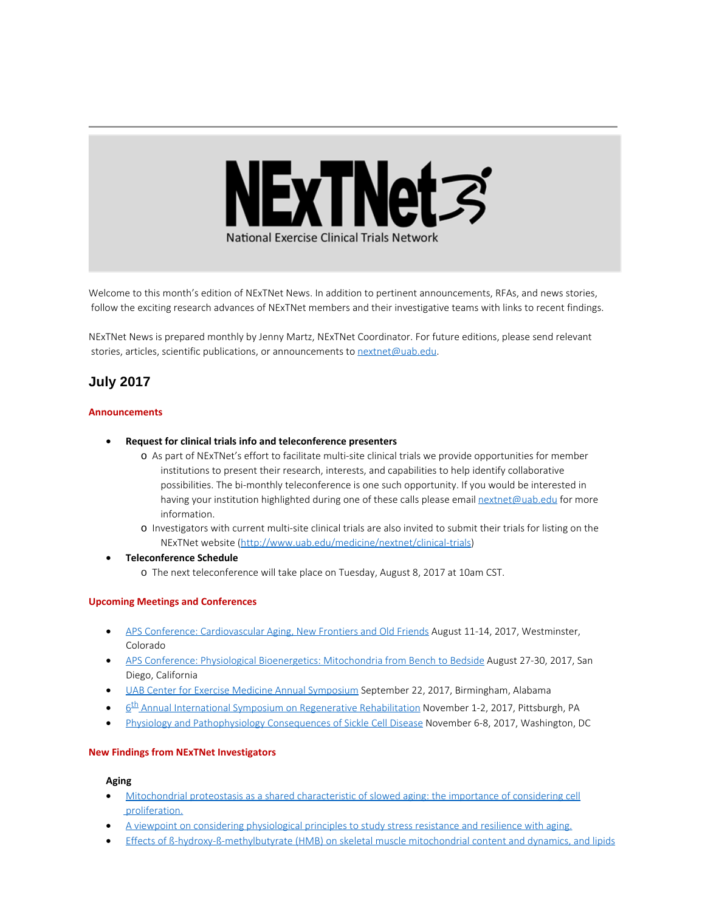

Welcome to this month's edition of NExTNet News. In addition to pertinent announcements, RFAs, and news stories, follow the exciting research advances of NExTNet members and their investigative teams with links to recent findings.

NExTNet News is prepared monthly by Jenny Martz, NExTNet Coordinator. For future editions, please send relevant stories, articles, scientific publications, or announcements to [nextnet@uab.edu](mailto:nextnet@uab.edu).

# **July 2017**

## **Announcements**

- · **Request for clinical trials info and teleconference presenters**
	- o As part of NExTNet's effort to facilitate multi-site clinical trials we provide opportunities for member institutions to present their research, interests, and capabilities to help identify collaborative possibilities. The bi-monthly teleconference is one such opportunity. If you would be interested in having your institution highlighted during one of these calls please email [nextnet@uab.edu](mailto:nextnet@uab.edu) for more information.
	- o Investigators with current multi-site clinical trials are also invited to submit their trials for listing on the NExTNet website [\(http://www.uab.edu/medicine/nextnet/clinical-trials](http://www.uab.edu/medicine/nextnet/clinical-trials))
- · **Teleconference Schedule**
	- o The next teleconference will take place on Tuesday, August 8, 2017 at 10am CST.

#### **Upcoming Meetings and Conferences**

- · [APS Conference: Cardiovascular Aging, New Frontiers and Old Friends](http://www.the-aps.org/mm/Conferences/APS-Conferences/2017-Conferences/CV-Aging) August 11-14, 2017, Westminster, Colorado
- · [APS Conference: Physiological Bioenergetics: Mitochondria from Bench to Bedside](http://www.the-aps.org/mm/Conferences/APS-Conferences/2017-Conferences/Bioenergetics) August 27-30, 2017, San Diego, California
- [UAB Center for Exercise Medicine Annual Symposium](http://www.uab.edu/medicine/exercise/center-for-exercise-medicine-annual-symposium) September 22, 2017, Birmingham, Alabama
- $6<sup>th</sup>$  Annual International Symposium on Regenerative Rehabilitation November 1-2, 2017, Pittsburgh, PA
- [Physiology and Pathophysiology Consequences of Sickle Cell Disease](http://www.the-aps.org/mm/Conferences/APS-Conferences/2017-Conferences/Sickle-Cell) November 6-8, 2017, Washington, DC

#### **New Findings from NExTNet Investigators**

#### **Aging**

- · [Mitochondrial proteostasis as a shared characteristic of slowed aging: the importance of considering cell](https://www.ncbi.nlm.nih.gov/pubmed/28719097) [proliferation.](https://www.ncbi.nlm.nih.gov/pubmed/28719097)
- · [A viewpoint on considering physiological principles to study stress resistance and resilience with aging.](https://www.ncbi.nlm.nih.gov/pubmed/28676286)
- · [Effects of β-hydroxy-β-methylbutyrate \(HMB\) on skeletal muscle mitochondrial content and dynamics, and lipids](https://www.ncbi.nlm.nih.gov/pubmed/28705993)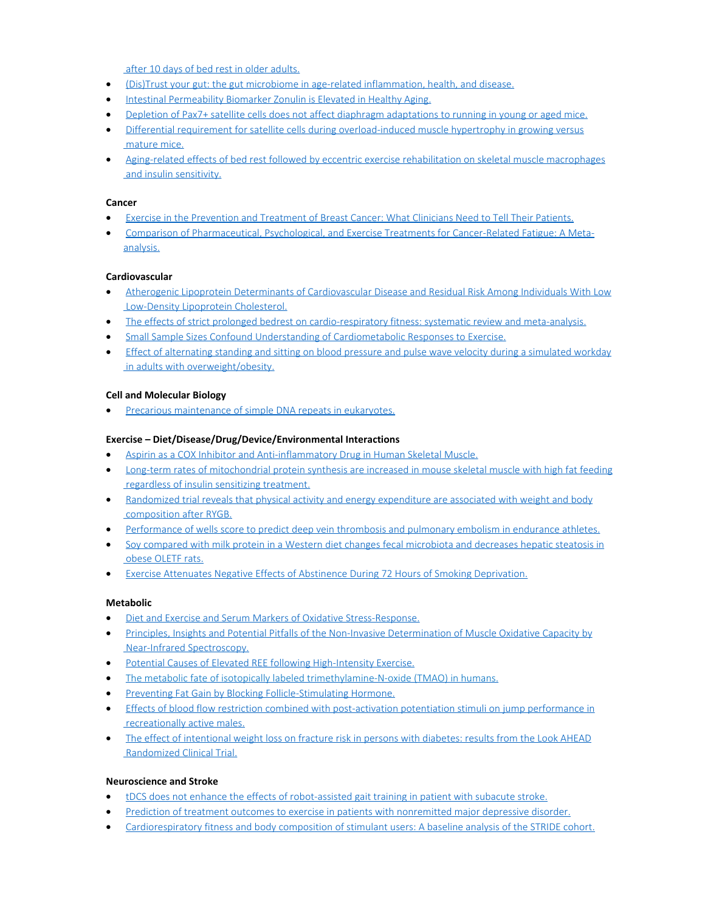[after 10 days of bed rest in older adults.](https://www.ncbi.nlm.nih.gov/pubmed/28705993)

- · [\(Dis\)Trust your gut: the gut microbiome in age-related inflammation, health, and disease.](https://www.ncbi.nlm.nih.gov/pubmed/28709450)
- · [Intestinal Permeability Biomarker Zonulin is Elevated in Healthy Aging.](https://www.ncbi.nlm.nih.gov/pubmed/28676292)
- [Depletion of Pax7+ satellite cells does not affect diaphragm adaptations to running in young or aged mice.](https://www.ncbi.nlm.nih.gov/pubmed/28736900)
- [Differential requirement for satellite cells during overload-induced muscle hypertrophy in growing versus](https://www.ncbi.nlm.nih.gov/pubmed/28693603)  [mature mice.](https://www.ncbi.nlm.nih.gov/pubmed/28693603)
- · [Aging-related effects of bed rest followed by eccentric exercise rehabilitation on skeletal muscle macrophages](https://www.ncbi.nlm.nih.gov/pubmed/28705613)  [and insulin sensitivity.](https://www.ncbi.nlm.nih.gov/pubmed/28705613)

#### **Cancer**

- · [Exercise in the Prevention and Treatment of Breast Cancer: What Clinicians Need to Tell Their Patients.](https://www.ncbi.nlm.nih.gov/pubmed/28696989)
- · [Comparison of Pharmaceutical, Psychological, and Exercise Treatments for Cancer-Related Fatigue: A Meta](https://www.ncbi.nlm.nih.gov/pubmed/28253393)[analysis.](https://www.ncbi.nlm.nih.gov/pubmed/28253393)

#### **Cardiovascular**

- · [Atherogenic Lipoprotein Determinants of Cardiovascular Disease and Residual Risk Among Individuals With Low](https://www.ncbi.nlm.nih.gov/pubmed/28733430)  [Low-Density Lipoprotein Cholesterol.](https://www.ncbi.nlm.nih.gov/pubmed/28733430)
- [The effects of strict prolonged bedrest on cardio-respiratory fitness: systematic review and meta-analysis.](https://www.ncbi.nlm.nih.gov/pubmed/28705999)
- · [Small Sample Sizes Confound Understanding of Cardiometabolic Responses to Exercise.](https://www.ncbi.nlm.nih.gov/pubmed/28419004)
- · [Effect of alternating standing and sitting on blood pressure and pulse wave velocity during a simulated workday](https://www.ncbi.nlm.nih.gov/pubmed/28704258)  [in adults with overweight/obesity.](https://www.ncbi.nlm.nih.gov/pubmed/28704258)

## **Cell and Molecular Biology**

· [Precarious maintenance of simple DNA repeats in eukaryotes.](https://www.ncbi.nlm.nih.gov/pubmed/28703879)

#### **Exercise – Diet/Disease/Drug/Device/Environmental Interactions**

- [Aspirin as a COX Inhibitor and Anti-inflammatory Drug in Human Skeletal Muscle.](https://www.ncbi.nlm.nih.gov/pubmed/28706001)
- · [Long-term rates of mitochondrial protein synthesis are increased in mouse skeletal muscle with high fat feeding](https://www.ncbi.nlm.nih.gov/pubmed/28698283)  [regardless of insulin sensitizing treatment.](https://www.ncbi.nlm.nih.gov/pubmed/28698283)
- · [Randomized trial reveals that physical activity and energy expenditure are associated with weight and body](https://www.ncbi.nlm.nih.gov/pubmed/28558160)  [composition after RYGB.](https://www.ncbi.nlm.nih.gov/pubmed/28558160)
- [Performance of wells score to predict deep vein thrombosis and pulmonary embolism in endurance athletes.](https://www.ncbi.nlm.nih.gov/pubmed/28707499)
- · [Soy compared with milk protein in a Western diet changes fecal microbiota and decreases hepatic steatosis in](https://www.ncbi.nlm.nih.gov/pubmed/28605664)  [obese OLETF rats.](https://www.ncbi.nlm.nih.gov/pubmed/28605664)
- · [Exercise Attenuates Negative Effects of Abstinence During 72 Hours of Smoking Deprivation.](https://www.ncbi.nlm.nih.gov/pubmed/28682103)

#### **Metabolic**

- · [Diet and Exercise and Serum Markers of Oxidative Stress-Response.](https://www.ncbi.nlm.nih.gov/pubmed/28698246)
- · [Principles, Insights and Potential Pitfalls of the Non-Invasive Determination of Muscle Oxidative Capacity by](https://www.ncbi.nlm.nih.gov/pubmed/28684592)  [Near-Infrared Spectroscopy.](https://www.ncbi.nlm.nih.gov/pubmed/28684592)
- · [Potential Causes of Elevated REE following High-Intensity Exercise.](https://www.ncbi.nlm.nih.gov/pubmed/28737531)
- · [The metabolic fate of isotopically labeled trimethylamine-N-oxide \(TMAO\) in humans.](https://www.ncbi.nlm.nih.gov/pubmed/28433924)
- · [Preventing Fat Gain by Blocking Follicle-Stimulating Hormone.](https://www.ncbi.nlm.nih.gov/pubmed/28723332)
- · [Effects of blood flow restriction combined with post-activation potentiation stimuli on jump performance in](https://www.ncbi.nlm.nih.gov/pubmed/28682937)  [recreationally active males.](https://www.ncbi.nlm.nih.gov/pubmed/28682937)
- · [The effect of intentional weight loss on fracture risk in persons with diabetes: results from the Look AHEAD](https://www.ncbi.nlm.nih.gov/pubmed/28678345)  [Randomized Clinical Trial.](https://www.ncbi.nlm.nih.gov/pubmed/28678345)

#### **Neuroscience and Stroke**

- · tDCS does not enhance the effects of [robot-assisted gait training in patient with](https://www.ncbi.nlm.nih.gov/pubmed/28697574) subacute stroke.
- [Prediction of treatment outcomes to exercise in patients with nonremitted major depressive disorder.](https://www.ncbi.nlm.nih.gov/pubmed/28672073)
- [Cardiorespiratory fitness and body composition of stimulant users: A baseline analysis of the STRIDE cohort.](https://www.ncbi.nlm.nih.gov/pubmed/28554607)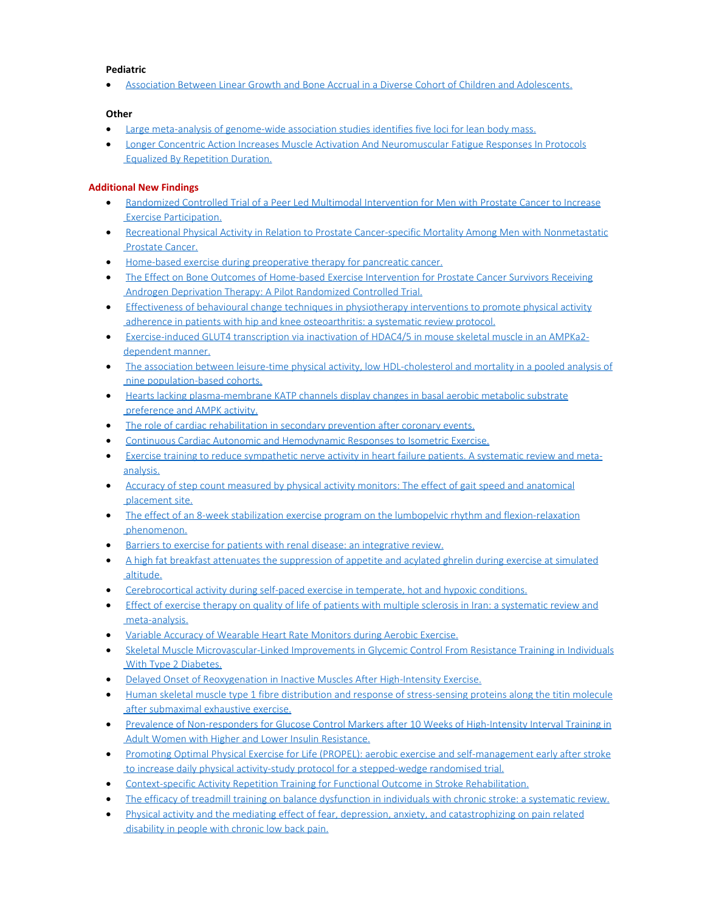## **Pediatric**

· [Association Between Linear Growth and Bone Accrual in a Diverse Cohort of Children and Adolescents.](https://www.ncbi.nlm.nih.gov/pubmed/28672287)

## **Other**

- · [Large meta-analysis of genome-wide association studies identifies five loci for lean body mass.](https://www.ncbi.nlm.nih.gov/pubmed/28724990)
- · [Longer Concentric Action Increases Muscle Activation And Neuromuscular Fatigue Responses In Protocols](https://www.ncbi.nlm.nih.gov/pubmed/28737588)  [Equalized By Repetition Duration.](https://www.ncbi.nlm.nih.gov/pubmed/28737588)

# **Additional New Findings**

- · [Randomized Controlled Trial of a Peer Led Multimodal Intervention for Men with Prostate Cancer to Increase](http://www.ncbi.nlm.nih.gov/pubmed/28685892)  [Exercise Participation.](http://www.ncbi.nlm.nih.gov/pubmed/28685892)
- · [Recreational Physical Activity in Relation to Prostate Cancer-specific Mortality Among Men with Nonmetastatic](http://www.ncbi.nlm.nih.gov/pubmed/28711382)  [Prostate Cancer.](http://www.ncbi.nlm.nih.gov/pubmed/28711382)
- · [Home-based exercise during preoperative therapy for pancreatic cancer.](http://www.ncbi.nlm.nih.gov/pubmed/28710540)
- [The Effect on Bone Outcomes of Home-based Exercise Intervention for Prostate Cancer Survivors Receiving](http://www.ncbi.nlm.nih.gov/pubmed/28731882)  [Androgen Deprivation Therapy: A Pilot Randomized Controlled Trial.](http://www.ncbi.nlm.nih.gov/pubmed/28731882)
- · [Effectiveness of behavioural change techniques in physiotherapy interventions to promote physical activity](http://www.ncbi.nlm.nih.gov/pubmed/28667221)  [adherence in patients with hip and knee osteoarthritis: a systematic review protocol.](http://www.ncbi.nlm.nih.gov/pubmed/28667221)
- · [Exercise-induced GLUT4 transcription via inactivation of HDAC4/5 in mouse skeletal muscle in an AMPKa2](http://www.ncbi.nlm.nih.gov/pubmed/28688716) [dependent manner.](http://www.ncbi.nlm.nih.gov/pubmed/28688716)
- · [The association between leisure-time physical activity, low HDL-cholesterol and mortality in a pooled analysis of](http://www.ncbi.nlm.nih.gov/pubmed/28667447)  [nine population-based cohorts.](http://www.ncbi.nlm.nih.gov/pubmed/28667447)
- · [Hearts lacking plasma-membrane KATP channels display changes in basal aerobic metabolic substrate](http://www.ncbi.nlm.nih.gov/pubmed/28667052)  [preference and AMPK activity.](http://www.ncbi.nlm.nih.gov/pubmed/28667052)
- · [The role of cardiac rehabilitation in secondary prevention after coronary events.](http://www.ncbi.nlm.nih.gov/pubmed/28664773)
- · [Continuous Cardiac Autonomic and Hemodynamic Responses to Isometric Exercise.](http://www.ncbi.nlm.nih.gov/pubmed/28708775)
- · [Exercise training to reduce sympathetic nerve activity in heart failure patients. A systematic review and meta](http://www.ncbi.nlm.nih.gov/pubmed/28733092)[analysis.](http://www.ncbi.nlm.nih.gov/pubmed/28733092)
- [Accuracy of step count measured by physical activity monitors: The effect of gait speed and anatomical](http://www.ncbi.nlm.nih.gov/pubmed/28666177)  [placement site.](http://www.ncbi.nlm.nih.gov/pubmed/28666177)
- [The effect of an 8-week stabilization exercise program on the lumbopelvic rhythm and flexion-relaxation](http://www.ncbi.nlm.nih.gov/pubmed/28668552)  [phenomenon.](http://www.ncbi.nlm.nih.gov/pubmed/28668552)
- [Barriers to exercise for patients with renal disease: an integrative review.](http://www.ncbi.nlm.nih.gov/pubmed/28689231)
- · [A high fat breakfast attenuates the suppression of appetite and acylated ghrelin during exercise at simulated](http://www.ncbi.nlm.nih.gov/pubmed/28689024)  [altitude.](http://www.ncbi.nlm.nih.gov/pubmed/28689024)
- · [Cerebrocortical activity during self-paced exercise in temperate, hot and hypoxic conditions.](http://www.ncbi.nlm.nih.gov/pubmed/28686002)
- · [Effect of exercise therapy on quality of life of patients with multiple sclerosis in Iran: a systematic review and](http://www.ncbi.nlm.nih.gov/pubmed/28687973)  [meta-analysis.](http://www.ncbi.nlm.nih.gov/pubmed/28687973)
- · [Variable Accuracy of Wearable Heart Rate Monitors during Aerobic Exercise.](http://www.ncbi.nlm.nih.gov/pubmed/28709155)
- · [Skeletal Muscle Microvascular-Linked Improvements in Glycemic Control From Resistance Training in Individuals](http://www.ncbi.nlm.nih.gov/pubmed/28687542)  [With Type 2 Diabetes.](http://www.ncbi.nlm.nih.gov/pubmed/28687542)
- [Delayed Onset of Reoxygenation in Inactive Muscles After High-Intensity Exercise.](http://www.ncbi.nlm.nih.gov/pubmed/28685454)
- · [Human skeletal muscle type 1 fibre distribution and response of stress-sensing proteins along the titin molecule](http://www.ncbi.nlm.nih.gov/pubmed/28712031)  [after submaximal exhaustive exercise.](http://www.ncbi.nlm.nih.gov/pubmed/28712031)
- · [Prevalence of Non-responders for Glucose Control Markers after 10 Weeks of High-Intensity Interval Training in](http://www.ncbi.nlm.nih.gov/pubmed/28729841)  [Adult Women with Higher and Lower Insulin Resistance.](http://www.ncbi.nlm.nih.gov/pubmed/28729841)
- · [Promoting Optimal Physical Exercise for Life \(PROPEL\): aerobic exercise and self-management early after stroke](http://www.ncbi.nlm.nih.gov/pubmed/28667222)  [to increase daily physical activity-study protocol for a stepped-wedge randomised trial.](http://www.ncbi.nlm.nih.gov/pubmed/28667222)
- · [Context-specific Activity Repetition Training for Functional Outcome in Stroke Rehabilitation.](http://www.ncbi.nlm.nih.gov/pubmed/28666513)
- [The efficacy of treadmill training on balance dysfunction in individuals with chronic stroke: a systematic review.](http://www.ncbi.nlm.nih.gov/pubmed/28687056)
- · [Physical activity and the mediating effect of fear, depression, anxiety, and catastrophizing on pain related](http://www.ncbi.nlm.nih.gov/pubmed/28686644) disability in people with chronic low back pain.